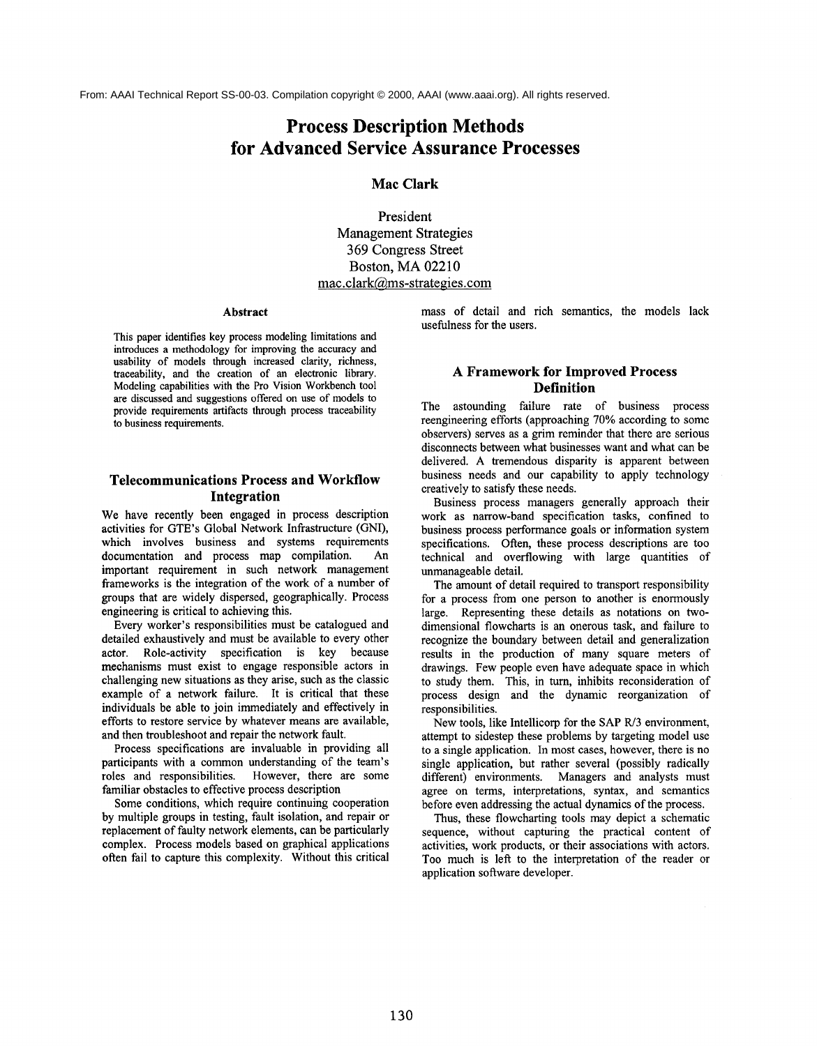From: AAAI Technical Report SS-00-03. Compilation copyright © 2000, AAAI (www.aaai.org). All rights reserved.

# **Process Description Methods for Advanced Service Assurance Processes**

**Mac Clark**

**President Management Strategies 369 Congress Street Boston, MA 02210 mac.clark@ms-strategies.corn**

#### **Abstract**

This paper identifies key process modeling limitations and introduces a methodology for improving the accuracy and usability of models through increased clarity, richness, traceability, and the creation of an electronic library. Modeling capabilities with the Pro Vision Workbench tool **are** discussed and suggestions offered on use of models to provide requirements artifacts through process traceability to business requirements.

# **Telecommunications Process and Workflow Integration**

We have recently been engaged in process description activities for GTE's Global Network Infrastructure (GNI), which involves business and systems requirements documentation and process map compilation. An important requirement in such network management frameworks is the integration of the work of a number of groups that are widely dispersed, geographically. Process engineering is critical to achieving this.

Every worker's responsibilities must be catalogued and detailed exhaustively and must be available to every other actor. Role-activity specification is key because mechanisms must exist to engage responsible actors in challenging new situations as they arise, such as the classic example of a network failure. It is critical that these individuals be able to join immediately and effectively in efforts to restore service by whatever means are available, and then troubleshoot and repair the network fault.

Process specifications are invaluable in providing all participants with a common understanding of the team's roles and responsibilities. However, there are some familiar obstacles to effective process description

Some conditions, which require continuing cooperation by multiple groups in testing, fault isolation, and repair or replacement of faulty network elements, can be particularly complex. Process models based on graphical applications often fail to capture this complexity. Without this critical mass of detail and rich semantics, the models lack usefulness for the users.

# **A Framework for Improved Process Definition**

The astounding failure rate of business process reengineering efforts (approaching 70% according to some observers) serves as a grim reminder that there are serious disconnects between what businesses want and what can be delivered. A tremendous disparity is apparent between business needs and our capability to apply technology creatively to satisfy these needs.

Business process managers generally approach their work as narrow-band specification tasks, confined to business process performance goals or information system specifications. Often, these process descriptions are too technical and overflowing with large quantities of unmanageable detail.

The amount of detail required to transport responsibility for a process from one person to another is enormously large. Representing these details as notations on twodimensional flowcharts is an onerous task, and failure to recognize the boundary between detail and generalization results in the production of many square meters of drawings. Few people even have adequate space in which to study them. This, in turn, inhibits reconsideration of process design and the dynamic reorganization of responsibilities.

New tools, like Intellicorp for the SAP R/3 environment, attempt to sidestep these problems by targeting model use to a single application. In most cases, however, there is no single application, but rather several (possibly radically different) environments. Managers and analysts must agree on terms, interpretations, syntax, and semantics before even addressing the actual dynamics of the process.

Thus, these flowcharting tools may depict a schematic sequence, without capturing the practical content of activities, work products, or their associations with actors. Too much is left to the interpretation of the reader or application software developer.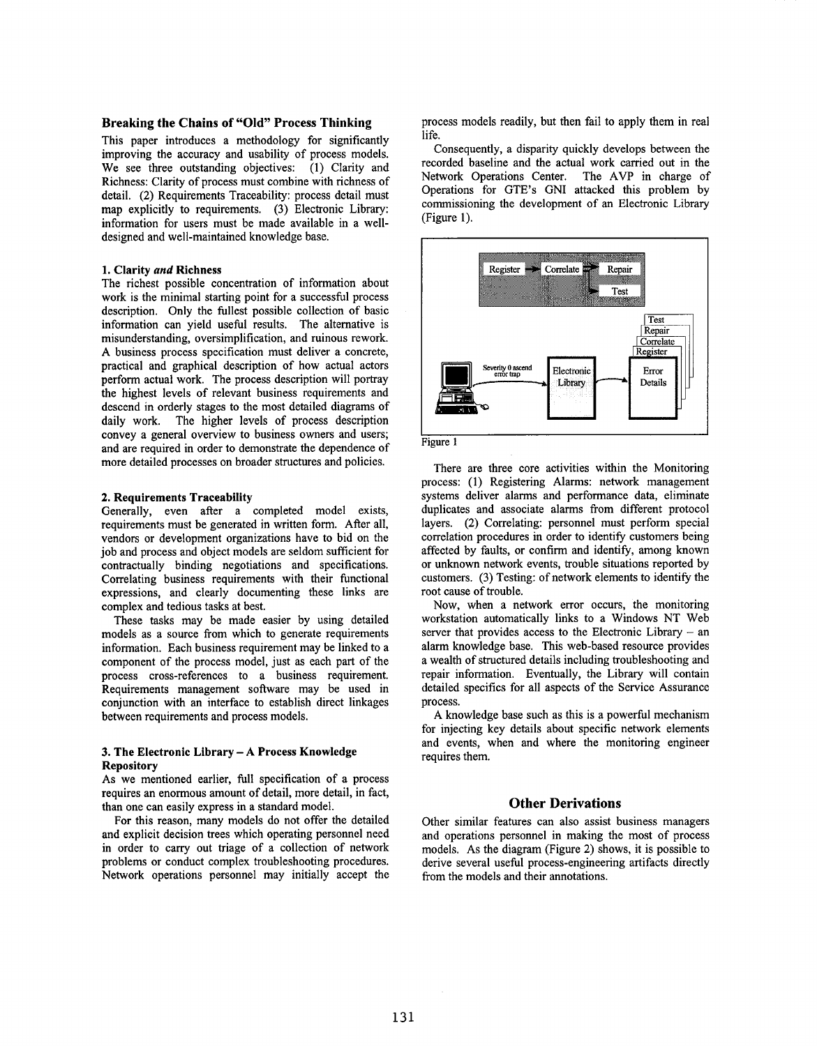### **Breaking the Chains of "Old" Process Thinking**

This paper introduces a methodology for significantly improving the accuracy and usability of process models. We see three outstanding objectives: (1) Clarity and Richness: Clarity of process must combine with richness of detail. (2) Requirements Traceability: process detail must map explicitly to requirements. (3) Electronic Library: information for users must be made available in a welldesigned and well-maintained knowledge base.

#### **1. Clarity** *and* **Richness**

The richest possible concentration of information about work is the minimal starting point for a successful process description. Only the fullest possible collection of basic information can yield useful results. The alternative is misunderstanding, oversimplification, and ruinous rework. A business process specification must deliver a concrete, practical and graphical description of how actual actors perform actual work. The process description will portray the highest levels of relevant business requirements and descend in orderly stages to the most detailed diagrams of daily work. The higher levels of process description convey a general overview to business owners and users; and are required in order to demonstrate the dependence of more detailed processes on broader structures and policies.

#### **2. Requirements Traceability**

Generally, even after a completed model exists, requirements must be generated in written form. After all, vendors or development organizations have to bid on the job and process and object models are seldom sufficient for contractually binding negotiations and specifications. Correlating business requirements with their functional expressions, and clearly documenting these links are complex and tedious tasks at best.

These tasks may be made easier by using detailed models as a source from which to generate requirements information. Each business requirement may be linked to a component of the process model, just as each part of the process cross-references to a business requirement. Requirements management software may be used in conjunction with an interface to establish direct linkages between requirements and process models.

#### **3. The Electronic Library - A Process Knowledge Repository**

As we mentioned earlier, full specification of a process requires an enormous amount of detail, more detail, in fact, than one can easily express in a standard model.

**For** this reason, many models do not offer the detailed and explicit decision trees which operating personnel need in order to carry out triage of a collection of network problems or conduct complex troubleshooting procedures. Network operations personnel may initially accept the

process models readily, but then fail to apply them in real life.

Consequently, a disparity quickly develops between the recorded baseline and the actual work carried out in the Network Operations Center. The AVP in charge of Operations for GTE's GNI attacked this problem by commissioning the development of an Electronic Library (Figure 1).





There are three core activities within the Monitoring process: (1) Registering Alarms: network management systems deliver alarms and performance data, eliminate duplicates and associate alarms from different protocol layers. (2) Correlating: personnel must perform special correlation procedures in order to identify customers being affected by faults, or confirm and identify, among known or unknown network events, trouble situations reported by customers. (3) Testing: of network elements to identify the root cause of trouble.

Now, when a network error occurs, the monitoring workstation automatically links to a Windows NT Web server that provides access to the Electronic Library  $-$  an alarm knowledge base. This web-based resource provides a wealth of structured details including troubleshooting and repair information. Eventually, the Library will contain detailed specifics for all aspects of the Service Assurance process.

A knowledge base such as this is a powerful mechanism for injecting key details about specific network elements and events, when and where the monitoring engineer requires them.

### **Other Derivations**

Other similar features can also assist business managers and operations personnel in making the most of process models. As the diagram (Figure 2) shows, it is possible derive several useful process-engineering artifacts directly from the models and their annotations.